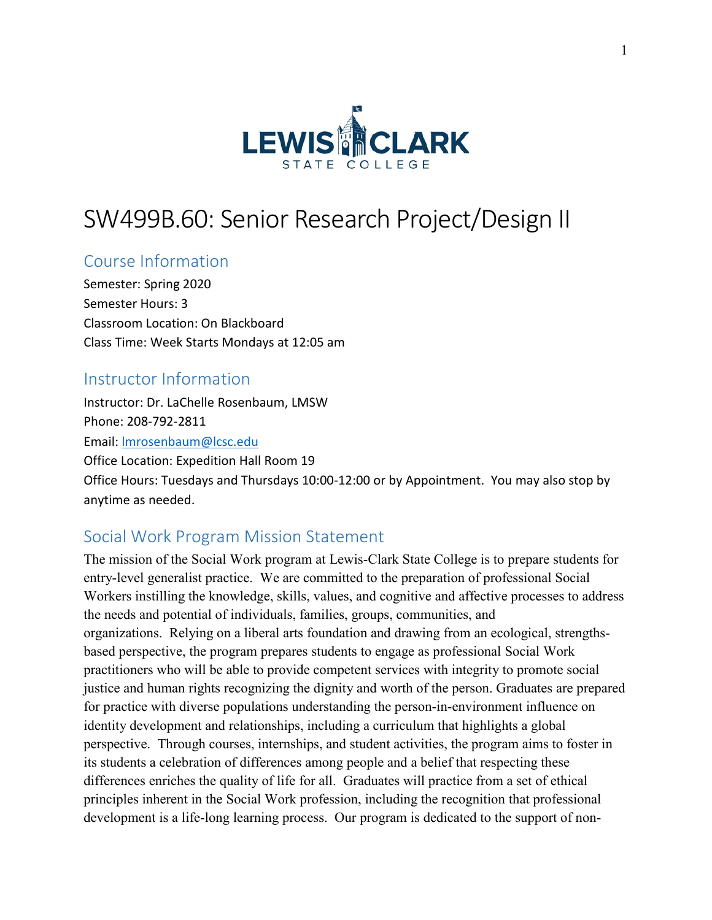

# SW499B.60: Senior Research Project/Design II

### Course Information

Semester: Spring 2020 Semester Hours: 3 Classroom Location: On Blackboard Class Time: Week Starts Mondays at 12:05 am

### Instructor Information

Instructor: Dr. LaChelle Rosenbaum, LMSW Phone: 208-792-2811 Email: [lmrosenbaum@lcsc.edu](mailto:lmrosenbaum@lcsc.edu) Office Location: Expedition Hall Room 19 Office Hours: Tuesdays and Thursdays 10:00-12:00 or by Appointment. You may also stop by anytime as needed.

### Social Work Program Mission Statement

The mission of the Social Work program at Lewis-Clark State College is to prepare students for entry-level generalist practice. We are committed to the preparation of professional Social Workers instilling the knowledge, skills, values, and cognitive and affective processes to address the needs and potential of individuals, families, groups, communities, and organizations. Relying on a liberal arts foundation and drawing from an ecological, strengthsbased perspective, the program prepares students to engage as professional Social Work practitioners who will be able to provide competent services with integrity to promote social justice and human rights recognizing the dignity and worth of the person. Graduates are prepared for practice with diverse populations understanding the person-in-environment influence on identity development and relationships, including a curriculum that highlights a global perspective. Through courses, internships, and student activities, the program aims to foster in its students a celebration of differences among people and a belief that respecting these differences enriches the quality of life for all. Graduates will practice from a set of ethical principles inherent in the Social Work profession, including the recognition that professional development is a life-long learning process. Our program is dedicated to the support of non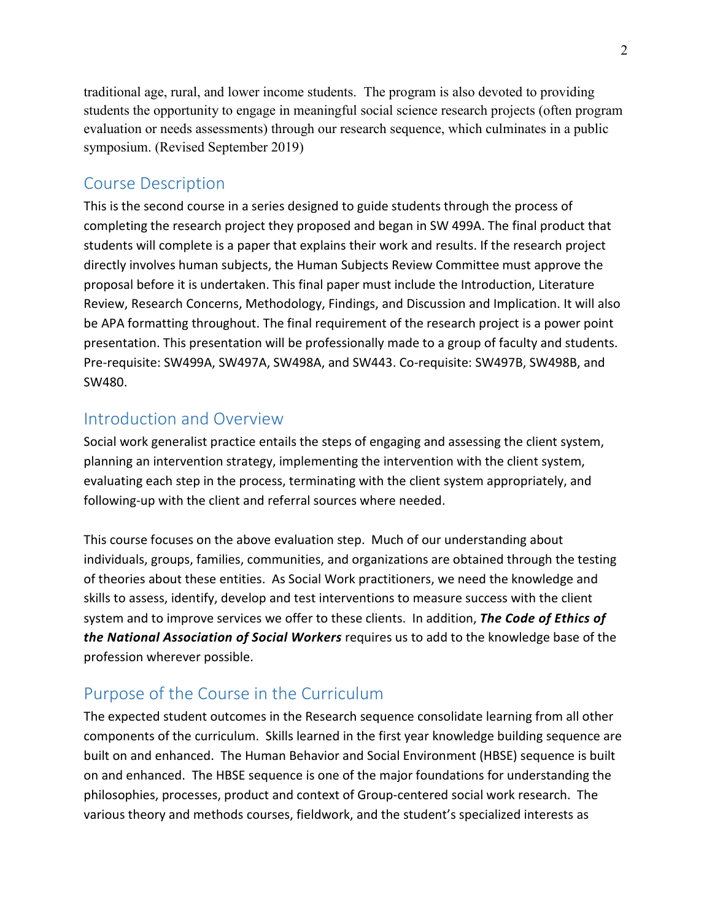traditional age, rural, and lower income students. The program is also devoted to providing students the opportunity to engage in meaningful social science research projects (often program evaluation or needs assessments) through our research sequence, which culminates in a public symposium. (Revised September 2019)

### Course Description

This is the second course in a series designed to guide students through the process of completing the research project they proposed and began in SW 499A. The final product that students will complete is a paper that explains their work and results. If the research project directly involves human subjects, the Human Subjects Review Committee must approve the proposal before it is undertaken. This final paper must include the Introduction, Literature Review, Research Concerns, Methodology, Findings, and Discussion and Implication. It will also be APA formatting throughout. The final requirement of the research project is a power point presentation. This presentation will be professionally made to a group of faculty and students. Pre-requisite: SW499A, SW497A, SW498A, and SW443. Co-requisite: SW497B, SW498B, and SW480.

### Introduction and Overview

Social work generalist practice entails the steps of engaging and assessing the client system, planning an intervention strategy, implementing the intervention with the client system, evaluating each step in the process, terminating with the client system appropriately, and following-up with the client and referral sources where needed.

This course focuses on the above evaluation step. Much of our understanding about individuals, groups, families, communities, and organizations are obtained through the testing of theories about these entities. As Social Work practitioners, we need the knowledge and skills to assess, identify, develop and test interventions to measure success with the client system and to improve services we offer to these clients. In addition, *The Code of Ethics of the National Association of Social Workers* requires us to add to the knowledge base of the profession wherever possible.

### Purpose of the Course in the Curriculum

The expected student outcomes in the Research sequence consolidate learning from all other components of the curriculum. Skills learned in the first year knowledge building sequence are built on and enhanced. The Human Behavior and Social Environment (HBSE) sequence is built on and enhanced. The HBSE sequence is one of the major foundations for understanding the philosophies, processes, product and context of Group-centered social work research. The various theory and methods courses, fieldwork, and the student's specialized interests as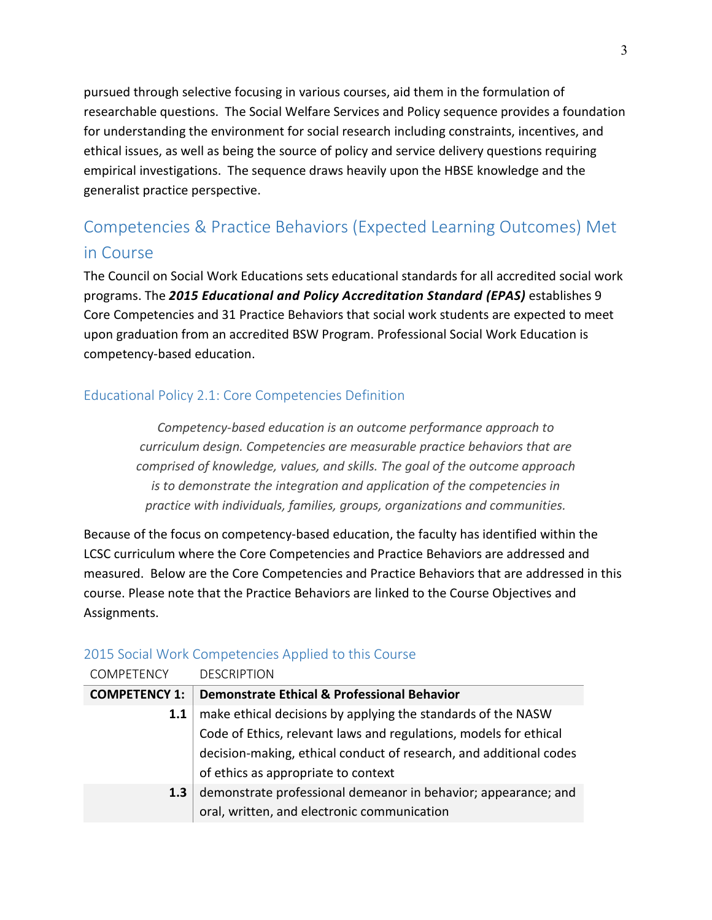pursued through selective focusing in various courses, aid them in the formulation of researchable questions. The Social Welfare Services and Policy sequence provides a foundation for understanding the environment for social research including constraints, incentives, and ethical issues, as well as being the source of policy and service delivery questions requiring empirical investigations. The sequence draws heavily upon the HBSE knowledge and the generalist practice perspective.

## Competencies & Practice Behaviors (Expected Learning Outcomes) Met in Course

The Council on Social Work Educations sets educational standards for all accredited social work programs. The *2015 Educational and Policy Accreditation Standard (EPAS)* establishes 9 Core Competencies and 31 Practice Behaviors that social work students are expected to meet upon graduation from an accredited BSW Program. Professional Social Work Education is competency-based education.

### Educational Policy 2.1: Core Competencies Definition

*Competency-based education is an outcome performance approach to curriculum design. Competencies are measurable practice behaviors that are comprised of knowledge, values, and skills. The goal of the outcome approach is to demonstrate the integration and application of the competencies in practice with individuals, families, groups, organizations and communities.*

Because of the focus on competency-based education, the faculty has identified within the LCSC curriculum where the Core Competencies and Practice Behaviors are addressed and measured. Below are the Core Competencies and Practice Behaviors that are addressed in this course. Please note that the Practice Behaviors are linked to the Course Objectives and Assignments.

#### 2015 Social Work Competencies Applied to this Course

| <b>COMPETENCY</b>    | <b>DESCRIPTION</b>                                                 |
|----------------------|--------------------------------------------------------------------|
| <b>COMPETENCY 1:</b> | <b>Demonstrate Ethical &amp; Professional Behavior</b>             |
| 1.1                  | make ethical decisions by applying the standards of the NASW       |
|                      | Code of Ethics, relevant laws and regulations, models for ethical  |
|                      | decision-making, ethical conduct of research, and additional codes |
|                      | of ethics as appropriate to context                                |
| 1.3                  | demonstrate professional demeanor in behavior; appearance; and     |
|                      | oral, written, and electronic communication                        |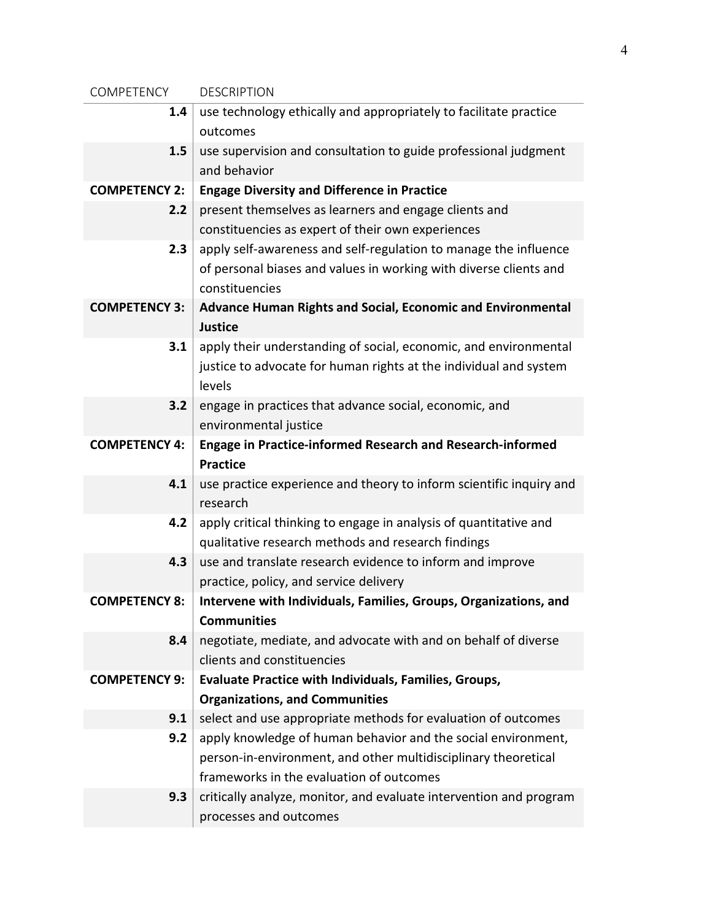| COMPETENCY           | <b>DESCRIPTION</b>                                                  |  |  |
|----------------------|---------------------------------------------------------------------|--|--|
| 1.4                  | use technology ethically and appropriately to facilitate practice   |  |  |
|                      | outcomes                                                            |  |  |
| 1.5                  | use supervision and consultation to guide professional judgment     |  |  |
|                      | and behavior                                                        |  |  |
| <b>COMPETENCY 2:</b> | <b>Engage Diversity and Difference in Practice</b>                  |  |  |
| 2.2                  | present themselves as learners and engage clients and               |  |  |
|                      | constituencies as expert of their own experiences                   |  |  |
| 2.3                  | apply self-awareness and self-regulation to manage the influence    |  |  |
|                      | of personal biases and values in working with diverse clients and   |  |  |
|                      | constituencies                                                      |  |  |
| <b>COMPETENCY 3:</b> | Advance Human Rights and Social, Economic and Environmental         |  |  |
|                      | <b>Justice</b>                                                      |  |  |
| 3.1                  | apply their understanding of social, economic, and environmental    |  |  |
|                      | justice to advocate for human rights at the individual and system   |  |  |
|                      | levels                                                              |  |  |
| 3.2                  | engage in practices that advance social, economic, and              |  |  |
|                      | environmental justice                                               |  |  |
| <b>COMPETENCY 4:</b> | Engage in Practice-informed Research and Research-informed          |  |  |
|                      | <b>Practice</b>                                                     |  |  |
| 4.1                  | use practice experience and theory to inform scientific inquiry and |  |  |
|                      | research                                                            |  |  |
| 4.2                  | apply critical thinking to engage in analysis of quantitative and   |  |  |
|                      | qualitative research methods and research findings                  |  |  |
| 4.3                  | use and translate research evidence to inform and improve           |  |  |
|                      | practice, policy, and service delivery                              |  |  |
| <b>COMPETENCY 8:</b> | Intervene with Individuals, Families, Groups, Organizations, and    |  |  |
|                      | <b>Communities</b>                                                  |  |  |
| 8.4                  | negotiate, mediate, and advocate with and on behalf of diverse      |  |  |
|                      | clients and constituencies                                          |  |  |
| <b>COMPETENCY 9:</b> | <b>Evaluate Practice with Individuals, Families, Groups,</b>        |  |  |
|                      | <b>Organizations, and Communities</b>                               |  |  |
| 9.1                  | select and use appropriate methods for evaluation of outcomes       |  |  |
| 9.2                  | apply knowledge of human behavior and the social environment,       |  |  |
|                      | person-in-environment, and other multidisciplinary theoretical      |  |  |
|                      | frameworks in the evaluation of outcomes                            |  |  |
| 9.3                  | critically analyze, monitor, and evaluate intervention and program  |  |  |
|                      | processes and outcomes                                              |  |  |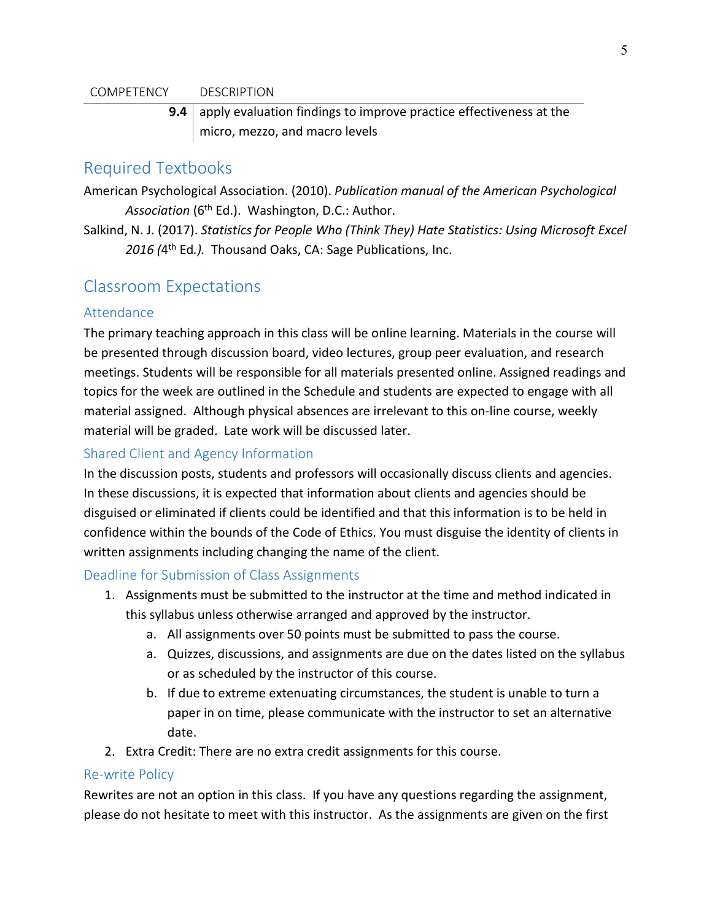#### COMPETENCY DESCRIPTION

**9.4** apply evaluation findings to improve practice effectiveness at the micro, mezzo, and macro levels

### Required Textbooks

American Psychological Association. (2010). *Publication manual of the American Psychological*  Association (6<sup>th</sup> Ed.). Washington, D.C.: Author.

Salkind, N. J. (2017). *Statistics for People Who (Think They) Hate Statistics: Using Microsoft Excel*  2016 (4<sup>th</sup> Ed.). Thousand Oaks, CA: Sage Publications, Inc.

### Classroom Expectations

#### Attendance

The primary teaching approach in this class will be online learning. Materials in the course will be presented through discussion board, video lectures, group peer evaluation, and research meetings. Students will be responsible for all materials presented online. Assigned readings and topics for the week are outlined in the Schedule and students are expected to engage with all material assigned. Although physical absences are irrelevant to this on-line course, weekly material will be graded. Late work will be discussed later.

#### Shared Client and Agency Information

In the discussion posts, students and professors will occasionally discuss clients and agencies. In these discussions, it is expected that information about clients and agencies should be disguised or eliminated if clients could be identified and that this information is to be held in confidence within the bounds of the Code of Ethics. You must disguise the identity of clients in written assignments including changing the name of the client.

#### Deadline for Submission of Class Assignments

- 1. Assignments must be submitted to the instructor at the time and method indicated in this syllabus unless otherwise arranged and approved by the instructor.
	- a. All assignments over 50 points must be submitted to pass the course.
	- a. Quizzes, discussions, and assignments are due on the dates listed on the syllabus or as scheduled by the instructor of this course.
	- b. If due to extreme extenuating circumstances, the student is unable to turn a paper in on time, please communicate with the instructor to set an alternative date.
- 2. Extra Credit: There are no extra credit assignments for this course.

#### Re-write Policy

Rewrites are not an option in this class. If you have any questions regarding the assignment, please do not hesitate to meet with this instructor. As the assignments are given on the first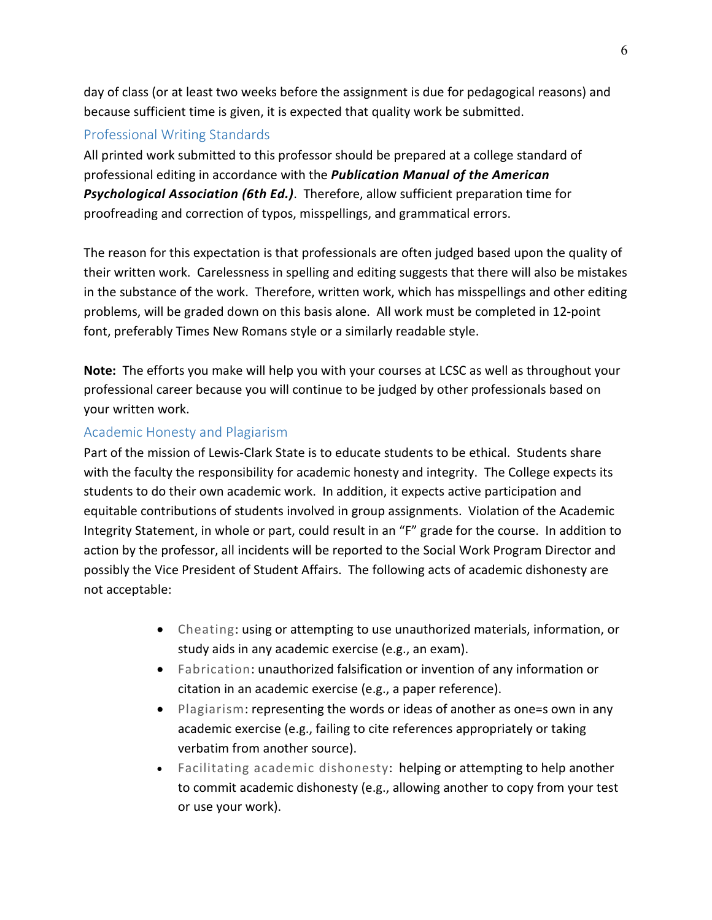day of class (or at least two weeks before the assignment is due for pedagogical reasons) and because sufficient time is given, it is expected that quality work be submitted.

#### Professional Writing Standards

All printed work submitted to this professor should be prepared at a college standard of professional editing in accordance with the *Publication Manual of the American Psychological Association (6th Ed.)*. Therefore, allow sufficient preparation time for proofreading and correction of typos, misspellings, and grammatical errors.

The reason for this expectation is that professionals are often judged based upon the quality of their written work. Carelessness in spelling and editing suggests that there will also be mistakes in the substance of the work. Therefore, written work, which has misspellings and other editing problems, will be graded down on this basis alone. All work must be completed in 12-point font, preferably Times New Romans style or a similarly readable style.

**Note:** The efforts you make will help you with your courses at LCSC as well as throughout your professional career because you will continue to be judged by other professionals based on your written work.

#### Academic Honesty and Plagiarism

Part of the mission of Lewis-Clark State is to educate students to be ethical. Students share with the faculty the responsibility for academic honesty and integrity. The College expects its students to do their own academic work. In addition, it expects active participation and equitable contributions of students involved in group assignments. Violation of the Academic Integrity Statement, in whole or part, could result in an "F" grade for the course. In addition to action by the professor, all incidents will be reported to the Social Work Program Director and possibly the Vice President of Student Affairs. The following acts of academic dishonesty are not acceptable:

- Cheating: using or attempting to use unauthorized materials, information, or study aids in any academic exercise (e.g., an exam).
- Fabrication: unauthorized falsification or invention of any information or citation in an academic exercise (e.g., a paper reference).
- Plagiarism: representing the words or ideas of another as one=s own in any academic exercise (e.g., failing to cite references appropriately or taking verbatim from another source).
- Facilitating academic dishonesty: helping or attempting to help another to commit academic dishonesty (e.g., allowing another to copy from your test or use your work).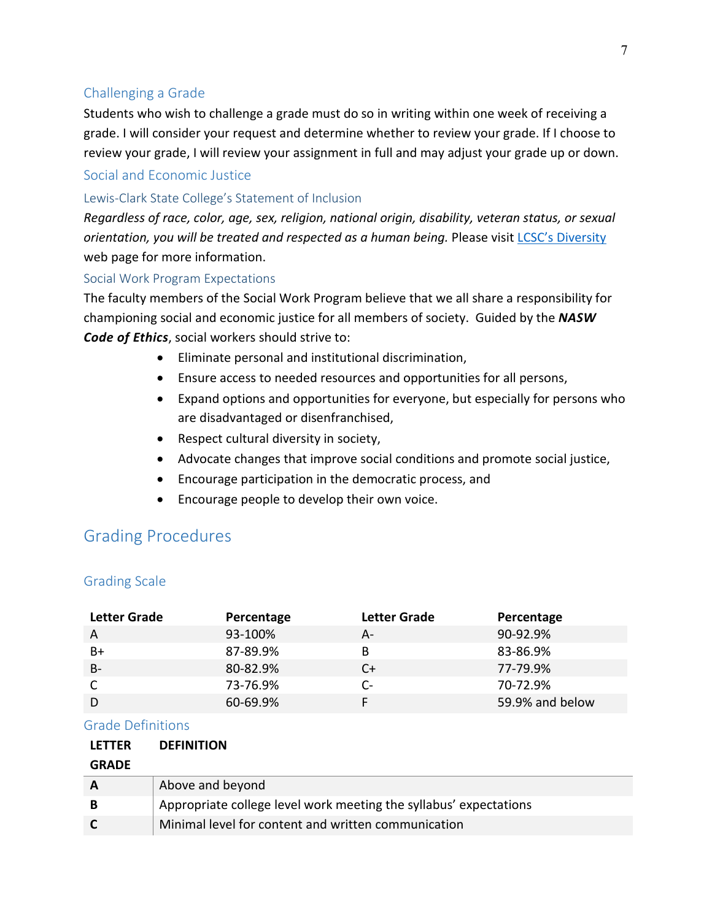#### Challenging a Grade

Students who wish to challenge a grade must do so in writing within one week of receiving a grade. I will consider your request and determine whether to review your grade. If I choose to review your grade, I will review your assignment in full and may adjust your grade up or down.

#### Social and Economic Justice

#### Lewis-Clark State College's Statement of Inclusion

*Regardless of race, color, age, sex, religion, national origin, disability, veteran status, or sexual orientation, you will be treated and respected as a human being.* Please visit [LCSC's Diversity](http://www.lcsc.edu/diversity/) web page for more information.

#### Social Work Program Expectations

The faculty members of the Social Work Program believe that we all share a responsibility for championing social and economic justice for all members of society. Guided by the *NASW Code of Ethics*, social workers should strive to:

- Eliminate personal and institutional discrimination,
- Ensure access to needed resources and opportunities for all persons,
- Expand options and opportunities for everyone, but especially for persons who are disadvantaged or disenfranchised,
- Respect cultural diversity in society,
- Advocate changes that improve social conditions and promote social justice,
- Encourage participation in the democratic process, and
- Encourage people to develop their own voice.

### Grading Procedures

#### Grading Scale

| Letter Grade | Percentage | <b>Letter Grade</b> | Percentage      |
|--------------|------------|---------------------|-----------------|
| A            | 93-100%    | А-                  | 90-92.9%        |
| B+           | 87-89.9%   | B                   | 83-86.9%        |
| $B -$        | 80-82.9%   | C+                  | 77-79.9%        |
|              | 73-76.9%   | C-                  | 70-72.9%        |
|              | 60-69.9%   |                     | 59.9% and below |

#### Grade Definitions

| <b>LETTER</b> | <b>DEFINITION</b>                                                 |
|---------------|-------------------------------------------------------------------|
| <b>GRADE</b>  |                                                                   |
|               | Above and beyond                                                  |
| B             | Appropriate college level work meeting the syllabus' expectations |
|               | Minimal level for content and written communication               |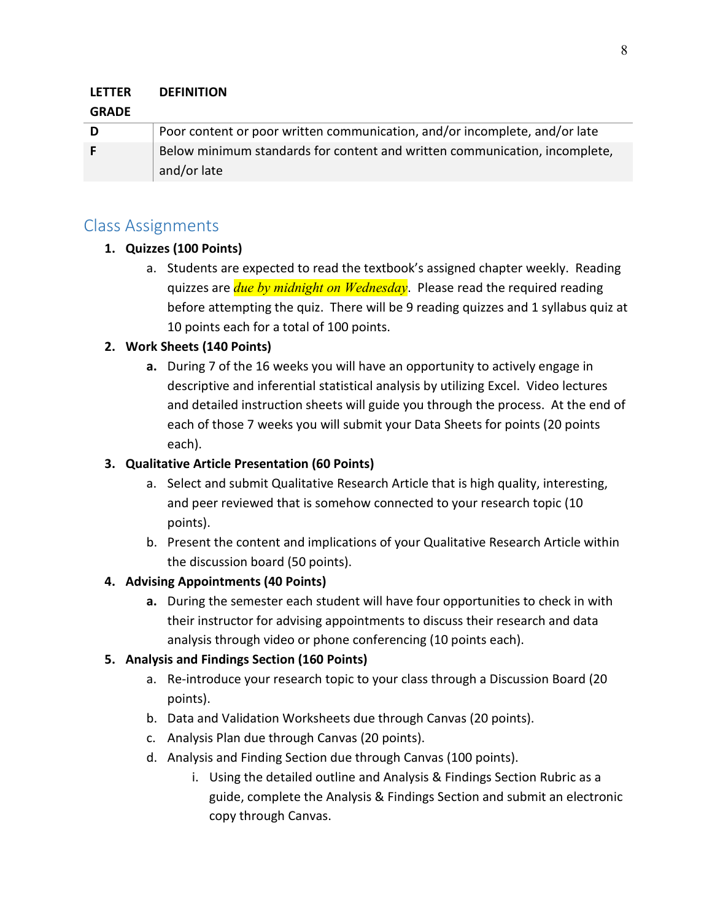#### **LETTER DEFINITION**

#### **GRADE**

| D | Poor content or poor written communication, and/or incomplete, and/or late |
|---|----------------------------------------------------------------------------|
|   | Below minimum standards for content and written communication, incomplete, |
|   | and/or late                                                                |

### Class Assignments

#### **1. Quizzes (100 Points)**

a. Students are expected to read the textbook's assigned chapter weekly. Reading quizzes are *due by midnight on Wednesday*. Please read the required reading before attempting the quiz. There will be 9 reading quizzes and 1 syllabus quiz at 10 points each for a total of 100 points.

#### **2. Work Sheets (140 Points)**

**a.** During 7 of the 16 weeks you will have an opportunity to actively engage in descriptive and inferential statistical analysis by utilizing Excel. Video lectures and detailed instruction sheets will guide you through the process. At the end of each of those 7 weeks you will submit your Data Sheets for points (20 points each).

#### **3. Qualitative Article Presentation (60 Points)**

- a. Select and submit Qualitative Research Article that is high quality, interesting, and peer reviewed that is somehow connected to your research topic (10 points).
- b. Present the content and implications of your Qualitative Research Article within the discussion board (50 points).

#### **4. Advising Appointments (40 Points)**

**a.** During the semester each student will have four opportunities to check in with their instructor for advising appointments to discuss their research and data analysis through video or phone conferencing (10 points each).

#### **5. Analysis and Findings Section (160 Points)**

- a. Re-introduce your research topic to your class through a Discussion Board (20 points).
- b. Data and Validation Worksheets due through Canvas (20 points).
- c. Analysis Plan due through Canvas (20 points).
- d. Analysis and Finding Section due through Canvas (100 points).
	- i. Using the detailed outline and Analysis & Findings Section Rubric as a guide, complete the Analysis & Findings Section and submit an electronic copy through Canvas.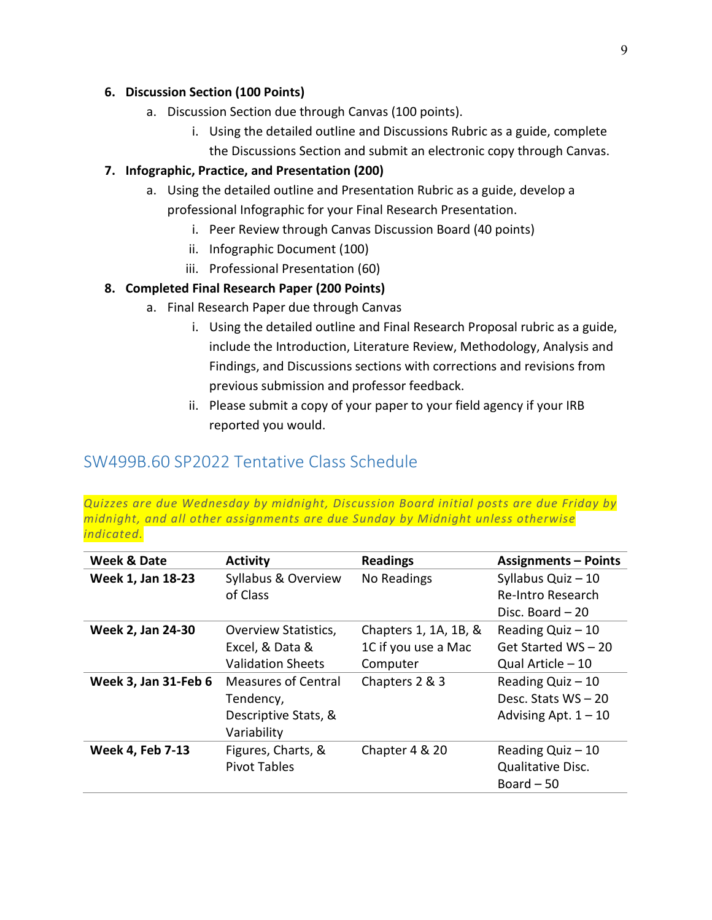#### **6. Discussion Section (100 Points)**

- a. Discussion Section due through Canvas (100 points).
	- i. Using the detailed outline and Discussions Rubric as a guide, complete
	- the Discussions Section and submit an electronic copy through Canvas.

#### **7. Infographic, Practice, and Presentation (200)**

- a. Using the detailed outline and Presentation Rubric as a guide, develop a professional Infographic for your Final Research Presentation.
	- i. Peer Review through Canvas Discussion Board (40 points)
	- ii. Infographic Document (100)
	- iii. Professional Presentation (60)

#### **8. Completed Final Research Paper (200 Points)**

- a. Final Research Paper due through Canvas
	- i. Using the detailed outline and Final Research Proposal rubric as a guide, include the Introduction, Literature Review, Methodology, Analysis and Findings, and Discussions sections with corrections and revisions from previous submission and professor feedback.
	- ii. Please submit a copy of your paper to your field agency if your IRB reported you would.

### SW499B.60 SP2022 Tentative Class Schedule

*Quizzes are due Wednesday by midnight, Discussion Board initial posts are due Friday by midnight, and all other assignments are due Sunday by Midnight unless otherwise indicated.*

| Week & Date                 | <b>Activity</b>             | <b>Readings</b>       | <b>Assignments - Points</b> |
|-----------------------------|-----------------------------|-----------------------|-----------------------------|
| Week 1, Jan 18-23           | Syllabus & Overview         | No Readings           | Syllabus Quiz - 10          |
|                             | of Class                    |                       | Re-Intro Research           |
|                             |                             |                       | Disc. Board $-20$           |
| Week 2, Jan 24-30           | <b>Overview Statistics,</b> | Chapters 1, 1A, 1B, & | Reading Quiz - 10           |
|                             | Excel, & Data &             | 1C if you use a Mac   | Get Started WS - 20         |
|                             | <b>Validation Sheets</b>    | Computer              | Qual Article - 10           |
| <b>Week 3, Jan 31-Feb 6</b> | <b>Measures of Central</b>  | Chapters 2 & 3        | Reading Quiz - 10           |
|                             | Tendency,                   |                       | Desc. Stats $WS - 20$       |
|                             | Descriptive Stats, &        |                       | Advising Apt. $1 - 10$      |
|                             | Variability                 |                       |                             |
| <b>Week 4, Feb 7-13</b>     | Figures, Charts, &          | Chapter 4 & 20        | Reading Quiz $-10$          |
|                             | <b>Pivot Tables</b>         |                       | Qualitative Disc.           |
|                             |                             |                       | Board $-50$                 |